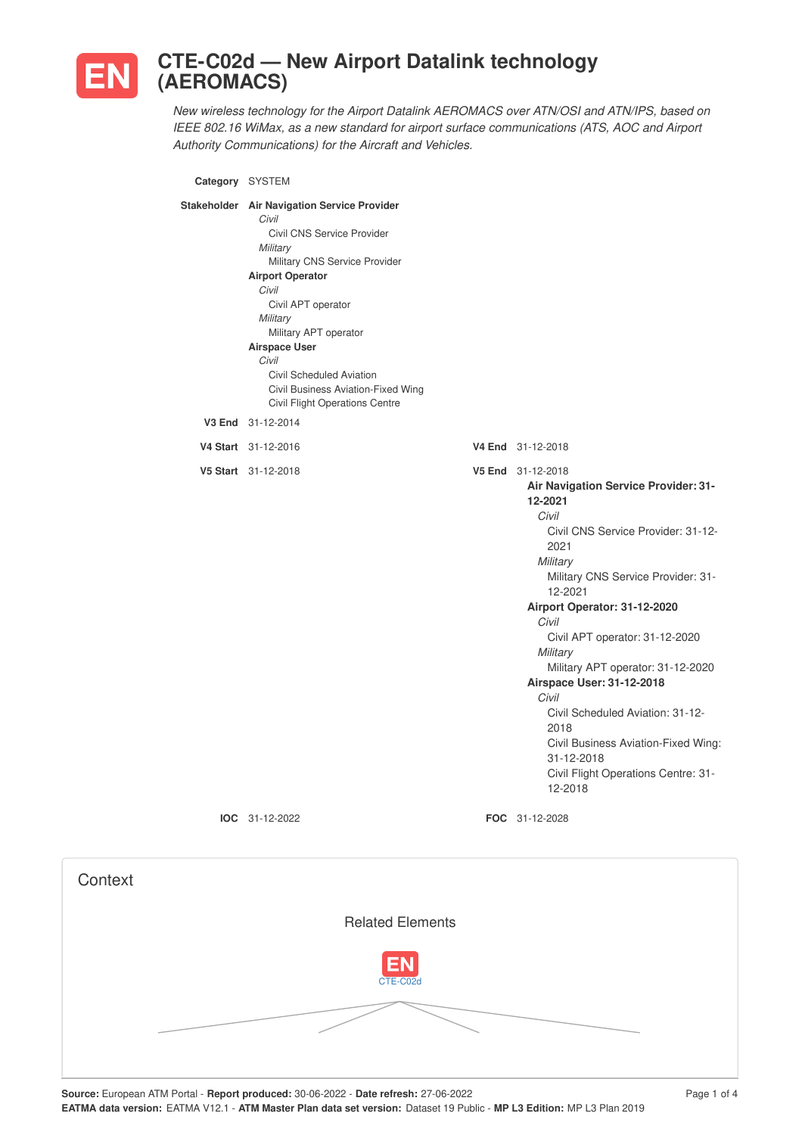

## **CTE-C02d — New Airport Datalink technology (AEROMACS)**

*New wireless technology for the Airport Datalink AEROMACS over ATN/OSI and ATN/IPS, based on IEEE 802.16 WiMax, as a new standard for airport surface communications (ATS, AOC and Airport Authority Communications) for the Aircraft and Vehicles.*

| Category SYSTEM |                                                                                                                                                                                                                                                                                                                                                                     |                                                                                                                                                                                                                                                                                                                                                                                                                                                                                                               |
|-----------------|---------------------------------------------------------------------------------------------------------------------------------------------------------------------------------------------------------------------------------------------------------------------------------------------------------------------------------------------------------------------|---------------------------------------------------------------------------------------------------------------------------------------------------------------------------------------------------------------------------------------------------------------------------------------------------------------------------------------------------------------------------------------------------------------------------------------------------------------------------------------------------------------|
|                 | Stakeholder Air Navigation Service Provider<br>Civil<br>Civil CNS Service Provider<br>Military<br>Military CNS Service Provider<br><b>Airport Operator</b><br>Civil<br>Civil APT operator<br>Military<br>Military APT operator<br><b>Airspace User</b><br>Civil<br>Civil Scheduled Aviation<br>Civil Business Aviation-Fixed Wing<br>Civil Flight Operations Centre |                                                                                                                                                                                                                                                                                                                                                                                                                                                                                                               |
|                 | V3 End 31-12-2014                                                                                                                                                                                                                                                                                                                                                   |                                                                                                                                                                                                                                                                                                                                                                                                                                                                                                               |
|                 | V4 Start 31-12-2016                                                                                                                                                                                                                                                                                                                                                 | V4 End 31-12-2018                                                                                                                                                                                                                                                                                                                                                                                                                                                                                             |
|                 | V5 Start 31-12-2018                                                                                                                                                                                                                                                                                                                                                 | V5 End 31-12-2018<br>Air Navigation Service Provider: 31-<br>12-2021<br>Civil<br>Civil CNS Service Provider: 31-12-<br>2021<br>Military<br>Military CNS Service Provider: 31-<br>12-2021<br>Airport Operator: 31-12-2020<br>Civil<br>Civil APT operator: 31-12-2020<br>Military<br>Military APT operator: 31-12-2020<br>Airspace User: 31-12-2018<br>Civil<br>Civil Scheduled Aviation: 31-12-<br>2018<br>Civil Business Aviation-Fixed Wing:<br>31-12-2018<br>Civil Flight Operations Centre: 31-<br>12-2018 |
|                 | IOC 31-12-2022                                                                                                                                                                                                                                                                                                                                                      | FOC 31-12-2028                                                                                                                                                                                                                                                                                                                                                                                                                                                                                                |
|                 |                                                                                                                                                                                                                                                                                                                                                                     |                                                                                                                                                                                                                                                                                                                                                                                                                                                                                                               |

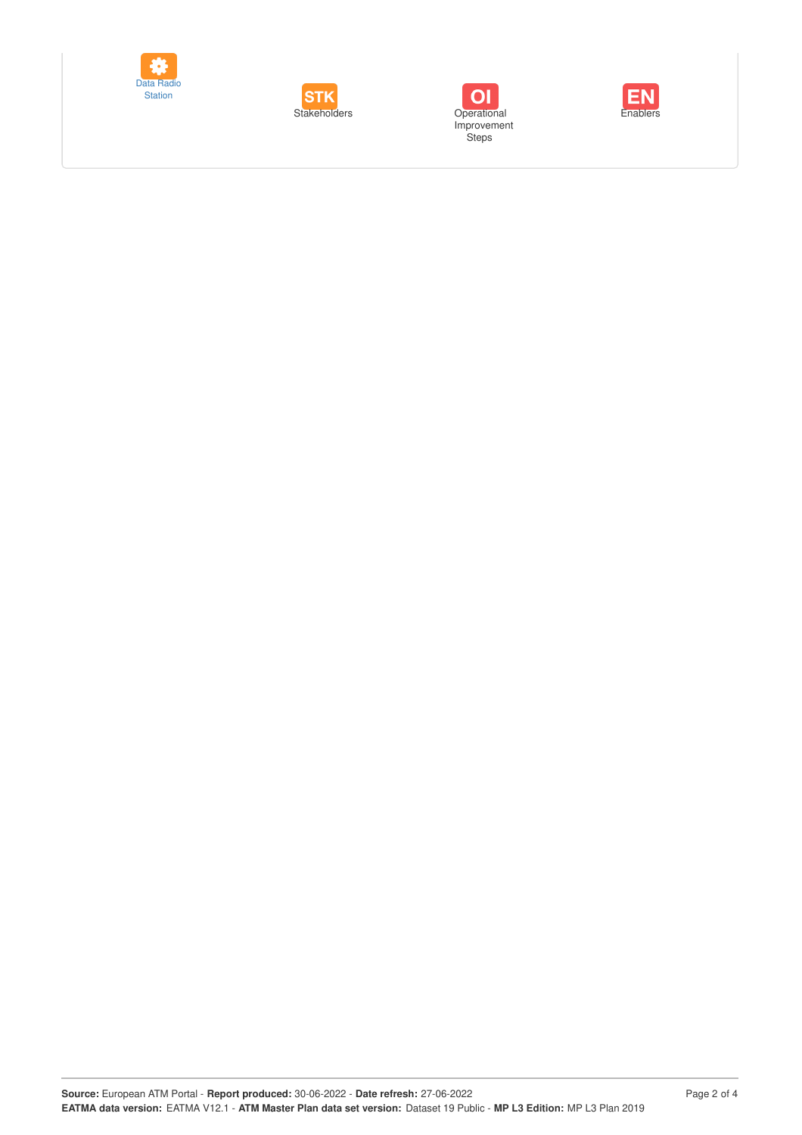





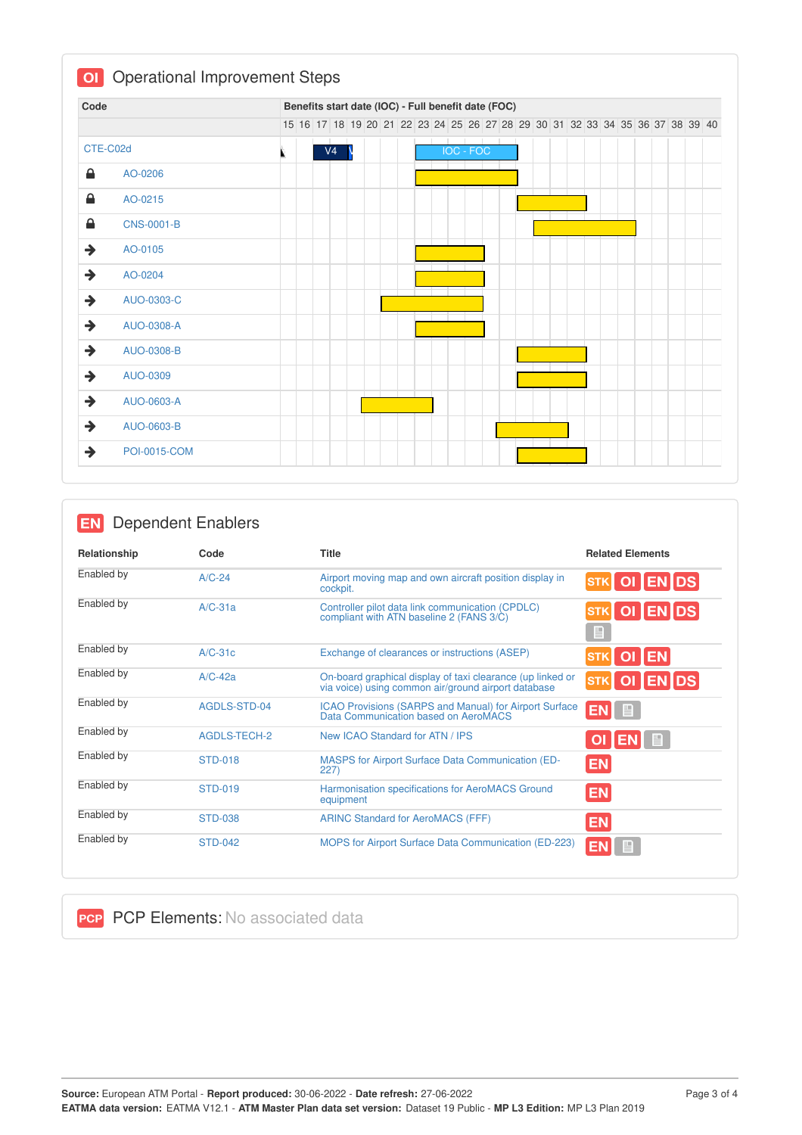| Code          |                     |  |                |  |  |  |                  | Benefits start date (IOC) - Full benefit date (FOC)                           |  |  |  |  |  |  |  |
|---------------|---------------------|--|----------------|--|--|--|------------------|-------------------------------------------------------------------------------|--|--|--|--|--|--|--|
|               |                     |  |                |  |  |  |                  | 15 16 17 18 19 20 21 22 23 24 25 26 27 28 29 30 31 32 33 34 35 36 37 38 39 40 |  |  |  |  |  |  |  |
|               | CTE-C02d            |  | V <sub>4</sub> |  |  |  | <b>IOC - FOC</b> |                                                                               |  |  |  |  |  |  |  |
| €             | AO-0206             |  |                |  |  |  |                  |                                                                               |  |  |  |  |  |  |  |
| ≙             | AO-0215             |  |                |  |  |  |                  |                                                                               |  |  |  |  |  |  |  |
| 8             | <b>CNS-0001-B</b>   |  |                |  |  |  |                  |                                                                               |  |  |  |  |  |  |  |
| $\rightarrow$ | AO-0105             |  |                |  |  |  |                  |                                                                               |  |  |  |  |  |  |  |
| $\rightarrow$ | AO-0204             |  |                |  |  |  |                  |                                                                               |  |  |  |  |  |  |  |
| $\rightarrow$ | AUO-0303-C          |  |                |  |  |  |                  |                                                                               |  |  |  |  |  |  |  |
| $\rightarrow$ | AUO-0308-A          |  |                |  |  |  |                  |                                                                               |  |  |  |  |  |  |  |
| $\rightarrow$ | AUO-0308-B          |  |                |  |  |  |                  |                                                                               |  |  |  |  |  |  |  |
| $\rightarrow$ | AUO-0309            |  |                |  |  |  |                  |                                                                               |  |  |  |  |  |  |  |
| $\rightarrow$ | AUO-0603-A          |  |                |  |  |  |                  |                                                                               |  |  |  |  |  |  |  |
| $\rightarrow$ | AUO-0603-B          |  |                |  |  |  |                  |                                                                               |  |  |  |  |  |  |  |
| $\rightarrow$ | <b>POI-0015-COM</b> |  |                |  |  |  |                  |                                                                               |  |  |  |  |  |  |  |

## **EN** Dependent Enablers

| Relationship | Code                | <b>Title</b>                                                                                                      | <b>Related Elements</b>   |
|--------------|---------------------|-------------------------------------------------------------------------------------------------------------------|---------------------------|
| Enabled by   | $A/C-24$            | Airport moving map and own aircraft position display in<br>cockpit.                                               | OI ENDS<br><b>STK</b>     |
| Enabled by   | $A/C-31a$           | Controller pilot data link communication (CPDLC)<br>compliant with ATN baseline 2 (FANS 3/C)                      | OI ENDS<br>$\blacksquare$ |
| Enabled by   | $A/C-31c$           | Exchange of clearances or instructions (ASEP)                                                                     | OI EN                     |
| Enabled by   | $A/C-42a$           | On-board graphical display of taxi clearance (up linked or<br>via voice) using common air/ground airport database | STK OI ENDS               |
| Enabled by   | AGDLS-STD-04        | <b>ICAO Provisions (SARPS and Manual) for Airport Surface</b><br>Data Communication based on AeroMACS             | EN B                      |
| Enabled by   | <b>AGDLS-TECH-2</b> | New ICAO Standard for ATN / IPS                                                                                   | 目<br><b>OI</b><br>I EN    |
| Enabled by   | <b>STD-018</b>      | <b>MASPS for Airport Surface Data Communication (ED-</b><br>227)                                                  | <b>EN</b>                 |
| Enabled by   | <b>STD-019</b>      | Harmonisation specifications for AeroMACS Ground<br>equipment                                                     | <b>EN</b>                 |
| Enabled by   | <b>STD-038</b>      | <b>ARINC Standard for AeroMACS (FFF)</b>                                                                          | <b>EN</b>                 |
| Enabled by   | <b>STD-042</b>      | <b>MOPS for Airport Surface Data Communication (ED-223)</b>                                                       | e<br>ЕM                   |

**PCP PCP Elements: No associated data**